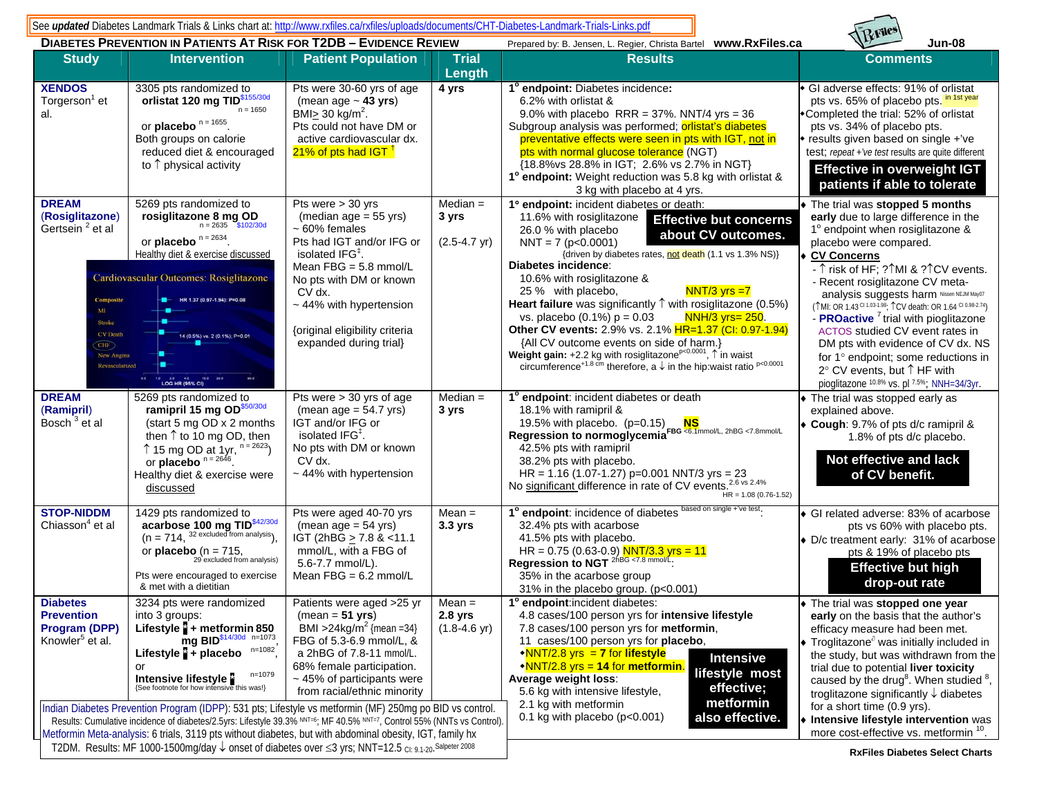See *updated* Diabetes Landmark Trials & Links chart at: http://www.rxfiles.ca/rxfiles/uploads/documents/CHT-Diabetes-Landmark-Trials-Links.pdf



|                                                                                                                                                                                                                                                                                                                                              | <b>DIABETES PREVENTION IN PATIENTS AT RISK FOR T2DB - EVIDENCE REVIEW</b>                                                                                                                                                                                                                                                                                        |                                                                                                                                                                                                                                                                                     |                                                 | Prepared by: B. Jensen, L. Regier, Christa Bartel  www.RxFiles.ca                                                                                                                                                                                                                                                                                                                                                                                                                                                                                                                                                                                                                                                                                                 | <b>Jun-08</b>                                                                                                                                                                                                                                                                                                                                                                                                                                                                                                                                                                                                      |
|----------------------------------------------------------------------------------------------------------------------------------------------------------------------------------------------------------------------------------------------------------------------------------------------------------------------------------------------|------------------------------------------------------------------------------------------------------------------------------------------------------------------------------------------------------------------------------------------------------------------------------------------------------------------------------------------------------------------|-------------------------------------------------------------------------------------------------------------------------------------------------------------------------------------------------------------------------------------------------------------------------------------|-------------------------------------------------|-------------------------------------------------------------------------------------------------------------------------------------------------------------------------------------------------------------------------------------------------------------------------------------------------------------------------------------------------------------------------------------------------------------------------------------------------------------------------------------------------------------------------------------------------------------------------------------------------------------------------------------------------------------------------------------------------------------------------------------------------------------------|--------------------------------------------------------------------------------------------------------------------------------------------------------------------------------------------------------------------------------------------------------------------------------------------------------------------------------------------------------------------------------------------------------------------------------------------------------------------------------------------------------------------------------------------------------------------------------------------------------------------|
| <b>Study</b>                                                                                                                                                                                                                                                                                                                                 | <b>Intervention</b>                                                                                                                                                                                                                                                                                                                                              | <b>Patient Population</b>                                                                                                                                                                                                                                                           | <b>Trial</b><br>Length                          | <b>Results</b>                                                                                                                                                                                                                                                                                                                                                                                                                                                                                                                                                                                                                                                                                                                                                    | <b>Comments</b>                                                                                                                                                                                                                                                                                                                                                                                                                                                                                                                                                                                                    |
| <b>XENDOS</b><br>Torgerson <sup>1</sup> et<br>al.                                                                                                                                                                                                                                                                                            | 3305 pts randomized to<br>orlistat 120 mg TID <sup>\$155/30d</sup><br>$n = 1650$<br>or placebo $n = 1655$<br>Both groups on calorie<br>reduced diet & encouraged<br>to $\uparrow$ physical activity                                                                                                                                                              | Pts were 30-60 yrs of age<br>(mean age $\sim$ 43 yrs)<br>BMI $\geq$ 30 kg/m <sup>2</sup> .<br>Pts could not have DM or<br>active cardiovascular dx.<br>21% of pts had IGT <sup>1</sup>                                                                                              | 4 yrs                                           | 1° endpoint: Diabetes incidence:<br>6.2% with orlistat &<br>9.0% with placebo RRR = $37\%$ . NNT/4 yrs = $36$<br>Subgroup analysis was performed; orlistat's diabetes<br>preventative effects were seen in pts with IGT, not in<br>pts with normal glucose tolerance (NGT)<br>{18.8% vs 28.8% in IGT; 2.6% vs 2.7% in NGT}<br>1° endpoint: Weight reduction was 5.8 kg with orlistat &<br>3 kg with placebo at 4 yrs.                                                                                                                                                                                                                                                                                                                                             | GI adverse effects: 91% of orlistat<br>in 1st year<br>pts vs. 65% of placebo pts.<br>•Completed the trial: 52% of orlistat<br>pts vs. 34% of placebo pts.<br>results given based on single +'ve<br>test; repeat +'ve test results are quite different<br><b>Effective in overweight IGT</b><br>patients if able to tolerate                                                                                                                                                                                                                                                                                        |
| <b>DREAM</b><br>(Rosiglitazone)<br>Gertsein <sup>2</sup> et al<br>Composite<br><b>Stroke</b><br><b>CV</b> Death<br>CHF<br>New Angina<br>Revascularized                                                                                                                                                                                       | 5269 pts randomized to<br>rosiglitazone 8 mg OD<br>$n = 2635$ \$102/30d<br>or placebo $n = 2634$ .<br>Healthy diet & exercise discussed<br>Cardiovascular Outcomes: Rosiglitazone<br>HR 1.37 (0.97-1.94): P=0.08<br>14 (0.5%) vs. 2 (0.1%); P=0.01<br>20 40 100 200<br>LOG HR (95% CI)                                                                           | Pts were $> 30$ yrs<br>(median $age = 55$ yrs)<br>$~50\%$ females<br>Pts had IGT and/or IFG or<br>isolated IFG <sup>‡</sup> .<br>Mean $FBG = 5.8$ mmol/L<br>No pts with DM or known<br>CV dx.<br>~44% with hypertension<br>{original eligibility criteria<br>expanded during trial} | $Median =$<br>3 yrs<br>$(2.5 - 4.7 \text{ yr})$ | 1° endpoint: incident diabetes or death:<br>11.6% with rosiglitazone<br><b>Effective but concerns</b><br>26.0 % with placebo<br>about CV outcomes.<br>$NNT = 7 (p<0.0001)$<br>{driven by diabetes rates, not death (1.1 vs 1.3% NS)}<br>Diabetes incidence:<br>10.6% with rosiglitazone &<br>$NNT/3$ yrs $=7$<br>25 % with placebo,<br>Heart failure was significantly $\uparrow$ with rosiglitazone (0.5%)<br>NNH/3 yrs= 250.<br>vs. placebo $(0.1\%) p = 0.03$<br>Other CV events: 2.9% vs. 2.1% HR=1.37 (CI: 0.97-1.94)<br>{All CV outcome events on side of harm.}<br>Weight gain: +2.2 kg with rosiglitazone <sup>p&lt;0.0001</sup> , 1 in waist<br>circumference <sup>+1.8</sup> cm therefore, $a \downarrow$ in the hip:waist ratio <sup>p&lt;0.0001</sup> | The trial was stopped 5 months<br>early due to large difference in the<br>1° endpoint when rosiglitazone &<br>placebo were compared.<br>CV Concerns<br>- 1 risk of HF; ?1MI & ?1 CV events.<br>- Recent rosiglitazone CV meta-<br>analysis suggests harm Nissen NEJM May07<br>(TMI: OR 1.43 CL1.03-1.98; TCV death: OR 1.64 CL0.98-2.74)<br>- <b>PROactive</b> <sup>7</sup> trial with pioglitazone<br>ACTOS studied CV event rates in<br>DM pts with evidence of CV dx. NS<br>for 1° endpoint; some reductions in<br>$2^{\circ}$ CV events, but $\uparrow$ HF with<br>pioglitazone 10.8% vs. pl 7.5%; NNH=34/3yr. |
| <b>DREAM</b><br>(Ramipril)<br>Bosch <sup>3</sup> et al                                                                                                                                                                                                                                                                                       | 5269 pts randomized to<br>ramipril 15 mg OD\$50/30d<br>(start 5 mg OD x 2 months<br>then $\uparrow$ to 10 mg OD, then<br>↑ 15 mg OD at 1yr, $n = 2623$<br>or placebo $n = 2646$ .<br>Healthy diet & exercise were<br>discussed                                                                                                                                   | Pts were $> 30$ yrs of age<br>$(mean age = 54.7 yrs)$<br>IGT and/or IFG or<br>isolated IFG $‡$ .<br>No pts with DM or known<br>CV dx.<br>$~\sim$ 44% with hypertension                                                                                                              | $Median =$<br>3 yrs                             | 1° endpoint: incident diabetes or death<br>18.1% with ramipril &<br>19.5% with placebo. $(p=0.15)$<br><b>NS</b><br>Regression to normoglycemia FBG <6.1mmol/L, 2hBG <7.8mmol/L<br>42.5% pts with ramipril<br>38.2% pts with placebo.<br>HR = $1.16$ (1.07-1.27) p=0.001 NNT/3 yrs = 23<br>No significant difference in rate of CV events. <sup>2.6 vs 2.4%</sup><br>$HR = 1.08(0.76 - 1.52)$                                                                                                                                                                                                                                                                                                                                                                      | The trial was stopped early as<br>explained above.<br>◆ Cough: 9.7% of pts d/c ramipril &<br>1.8% of pts d/c placebo.<br>Not effective and lack<br>of CV benefit.                                                                                                                                                                                                                                                                                                                                                                                                                                                  |
| <b>STOP-NIDDM</b><br>Chiasson <sup>4</sup> et al                                                                                                                                                                                                                                                                                             | 1429 pts randomized to<br><b>acarbose 100 mg TID</b> <sup>\$42/30d</sup><br>(n = 714, <sup>32 excluded from analysis),</sup><br>or <b>placebo</b> $(n = 715,$<br>29 excluded from analysis)<br>Pts were encouraged to exercise<br>& met with a dietitian                                                                                                         | Pts were aged 40-70 yrs<br>$(mean age = 54 yrs)$<br>IGT (2hBG <u>&gt;</u> 7.8 & <11.1<br>mmol/L, with a FBG of<br>5.6-7.7 mmol/L).<br>Mean $FBG = 6.2$ mmol/L                                                                                                                       | $Mean =$<br>3.3 yrs                             | 1° endpoint: incidence of diabetes based on single +'ve test.<br>32.4% pts with acarbose<br>41.5% pts with placebo.<br>HR = $0.75$ (0.63-0.9) NNT/3.3 yrs = 11<br>Regression to NGT 2hBG <7.8 mmol/L.<br>35% in the acarbose group<br>31% in the placebo group. (p<0.001)                                                                                                                                                                                                                                                                                                                                                                                                                                                                                         | ◆ GI related adverse: 83% of acarbose<br>pts vs 60% with placebo pts.<br>• D/c treatment early: 31% of acarbose<br>pts & 19% of placebo pts<br><b>Effective but high</b><br>drop-out rate                                                                                                                                                                                                                                                                                                                                                                                                                          |
| <b>Diabetes</b><br><b>Prevention</b><br><b>Program (DPP)</b><br>Knowler <sup>5</sup> et al.                                                                                                                                                                                                                                                  | 3234 pts were randomized<br>into 3 groups:<br>Lifestyle + metformin 850<br>mg BID <sup>\$14/30d</sup> n=1073<br>$n = 1082$<br>Lifestyle $\frac{5}{4}$ + placebo<br>or<br>n=1079<br>Intensive lifestyle<br>(See footnote for how intensive this was!)<br>Indian Diabetes Prevention Program (IDPP): 531 pts; Lifestyle vs metformin (MF) 250mg po BID vs control. | Patients were aged >25 yr<br>$(mean = 51 yrs)$<br><b>BMI</b> > $24 \text{kg/m}^2$ {mean = 34}<br>FBG of 5.3-6.9 mmol/L, &<br>a 2hBG of 7.8-11 mmol/L.<br>68% female participation.<br>~45% of participants were<br>from racial/ethnic minority                                      | $Mean =$<br>2.8 yrs<br>$(1.8 - 4.6 \text{ yr})$ | 1° endpoint: incident diabetes:<br>4.8 cases/100 person yrs for intensive lifestyle<br>7.8 cases/100 person yrs for metformin,<br>11 cases/100 person yrs for <b>placebo</b> ,<br>$\sqrt{\text{NNT}/2.8 \text{ yrs}} = 7$ for lifestyle<br><b>Intensive</b><br>$\sqrt{\text{NNT}}/2.8$ yrs = 14 for metformin.<br>lifestyle most<br>Average weight loss:<br>effective;<br>5.6 kg with intensive lifestyle,<br>metformin<br>2.1 kg with metformin<br>0.1 kg with placebo ( $p<0.001$ )<br>also effective.                                                                                                                                                                                                                                                          | The trial was stopped one year<br>early on the basis that the author's<br>efficacy measure had been met.<br>$\bullet$ Troglitazone <sup><math>\circ</math></sup> was initially included in<br>the study, but was withdrawn from the<br>trial due to potential liver toxicity<br>caused by the drug <sup>8</sup> . When studied $8$ ,<br>troglitazone significantly $\downarrow$ diabetes<br>for a short time (0.9 yrs).<br>• Intensive lifestyle intervention was                                                                                                                                                  |
| Results: Cumulative incidence of diabetes/2.5yrs: Lifestyle 39.3% NNT+6; MF 40.5% NNT+7, Control 55% (NNTs vs Control).<br>Metformin Meta-analysis: 6 trials, 3119 pts without diabetes, but with abdominal obesity, IGT, family hx<br>T2DM. Results: MF 1000-1500mg/day ↓ onset of diabetes over ≤3 yrs; NNT=12.5 CI: 9.1-20. Salpeter 2008 |                                                                                                                                                                                                                                                                                                                                                                  |                                                                                                                                                                                                                                                                                     |                                                 |                                                                                                                                                                                                                                                                                                                                                                                                                                                                                                                                                                                                                                                                                                                                                                   | more cost-effective vs. metformin 10.<br><b>RyFiles Diabetes Select Charts</b>                                                                                                                                                                                                                                                                                                                                                                                                                                                                                                                                     |

**RxFiles Diabetes Select Charts**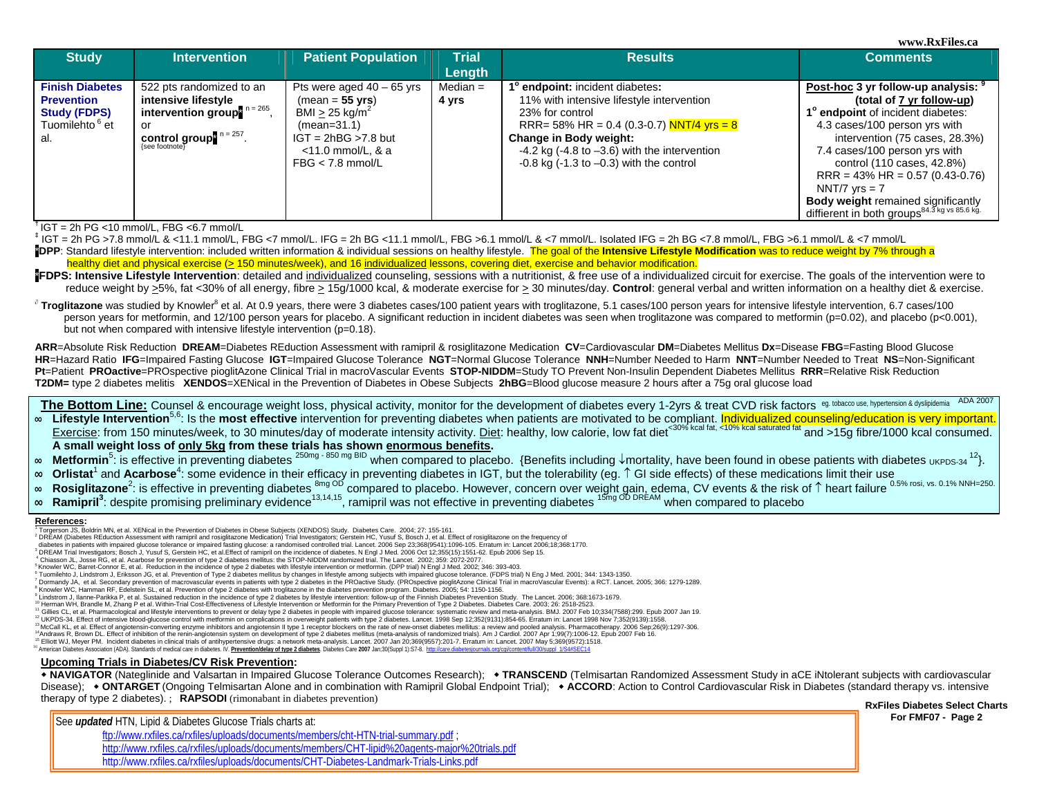**www.RxFiles.ca** 

| <b>Study</b>                                                                                            | <b>Intervention</b>                                                                                                                                                                    | <b>Patient Population</b>                                                                                                                                               | <b>Trial</b><br>Length | <b>Results</b>                                                                                                                                                                                                                                                                    | <b>Comments</b>                                                                                                                                                                                                                                                                                                                                                                                          |  |  |
|---------------------------------------------------------------------------------------------------------|----------------------------------------------------------------------------------------------------------------------------------------------------------------------------------------|-------------------------------------------------------------------------------------------------------------------------------------------------------------------------|------------------------|-----------------------------------------------------------------------------------------------------------------------------------------------------------------------------------------------------------------------------------------------------------------------------------|----------------------------------------------------------------------------------------------------------------------------------------------------------------------------------------------------------------------------------------------------------------------------------------------------------------------------------------------------------------------------------------------------------|--|--|
| <b>Finish Diabetes</b><br><b>Prevention</b><br><b>Study (FDPS)</b><br>Tuomilehto <sup>6</sup> et<br>al. | 522 pts randomized to an<br>intensive lifestyle<br>intervention group <sup>" <math>n = 265</math></sup> .<br>or<br>control group <sup>" <math>n = 257</math></sup> .<br>{see footnote} | Pts were aged $40 - 65$ yrs<br>$(mean = 55 yrs)$<br>BMI > 25 kg/m <sup>2</sup><br>$(mean=31.1)$<br>$IGT = 2hBG > 7.8$ but<br>$<$ 11.0 mmol/L, & a<br>$FBG < 7.8$ mmol/L | Median $=$<br>4 yrs    | 1° endpoint: incident diabetes:<br>11% with intensive lifestyle intervention<br>23% for control<br>RRR= 58% HR = 0.4 (0.3-0.7) NNT/4 yrs = 8<br>Change in Body weight:<br>$-4.2$ kg ( $-4.8$ to $-3.6$ ) with the intervention<br>$-0.8$ kg ( $-1.3$ to $-0.3$ ) with the control | Post-hoc 3 yr follow-up analysis: 9<br>(total of 7 yr follow-up)<br>1° endpoint of incident diabetes:<br>4.3 cases/100 person yrs with<br>intervention (75 cases, 28.3%)<br>7.4 cases/100 person yrs with<br>control (110 cases, 42.8%)<br>$RRR = 43\% HR = 0.57(0.43-0.76)$<br>NNT/7 $vrs = 7$<br><b>Body weight remained significantly</b><br>diffierent in both groups <sup>84.3</sup> kg vs 85.6 kg. |  |  |

**†** IGT = 2h PG <10 mmol/L, FBG <6.7 mmol/L

**‡** IGT = 2h PG >7.8 mmol/L & <11.1 mmol/L, FBG <7 mmol/L. IFG = 2h BG <11.1 mmol/L, FBG >6.1 mmol/L & <7 mmol/L. Isolated IFG = 2h BG <7.8 mmol/L, FBG >6.1 mmol/L & <7 mmol/L **PDPP:** Standard lifestyle intervention: included written information & individual sessions on healthy lifestyle. The goal of the Intensive Lifestyle Modification was to reduce weight by 7% through a healthy diet and physical exercise (> 150 minutes/week), and 16 individualized lessons, covering diet, exercise and behavior modification.

**FDPS: Intensive Lifestyle Intervention**: detailed and individualized counseling, sessions with a nutritionist, & free use of a individualized circuit for exercise. The goals of the intervention were to reduce weight by >5%, fat <30% of all energy, fibre > 15g/1000 kcal, & moderate exercise for > 30 minutes/day. **Control**: general verbal and written information on a healthy diet & exercise.

∂ Troglitazone was studied by Knowler<sup>8</sup> et al. At 0.9 years, there were 3 diabetes cases/100 patient years with troglitazone, 5.1 cases/100 person years for intensive lifestyle intervention, 6.7 cases/100 person years for metformin, and 12/100 person years for placebo. A significant reduction in incident diabetes was seen when troglitazone was compared to metformin (p=0.02), and placebo (p<0.001), but not when compared with intensive lifestyle intervention (p=0.18).

**ARR**=Absolute Risk Reduction **DREAM**=Diabetes REduction Assessment with ramipril & rosiglitazone Medication **CV**=Cardiovascular **DM**=Diabetes Mellitus **Dx**=Disease **FBG**=Fasting Blood Glucose HR=Hazard Ratio IFG=Impaired Fasting Glucose IGT=Impaired Glucose Tolerance NGT=Normal Glucose Tolerance NNH=Number Needed to Harm NNT=Number Needed to Treat NS=Non-Significant **Pt**=Patient **PROactive**=PROspective pioglitAzone Clinical Trial in macroVascular Events **STOP-NIDDM**=Study TO Prevent Non-Insulin Dependent Diabetes Mellitus **RRR**=Relative Risk Reduction **T2DM=** type 2 diabetes melitis **XENDOS**=XENical in the Prevention of Diabetes in Obese Subjects **2hBG**=Blood glucose measure 2 hours after a 75g oral glucose load

The Bottom Line: Counsel & encourage weight loss, physical activity, monitor for the development of diabetes every 1-2yrs & treat CVD risk factors eg. tobacco use, hypertension & dyslipidemia ADA 2007 ∞ **Lifestyle Intervention**5,6: Is the **most effective** intervention for preventing diabetes when patients are motivated to be compliant. Individualized counseling/education is very important. Exercise: from 150 minutes/week, to 30 minutes/day of moderate intensity activity. Diet: healthy, low calorie, low fat diet<sup>-30% kcal fat, <10% kcal saturated fat</sup> and >15g fibre/1000 kcal consumed. **A small weight loss of only 5kg from these trials has shown enormous benefits.**

- ∞« Metformin<sup>5</sup>: is effective in preventing diabetes <sup>250mg - 850 mg BID</sup> when compared to placebo. {Benefits including ↓mortality, have been found in obese patients with diabetes <sub>UKPDS-34</sub> <sup>12</sup>}.
- ∞**Orlistat**1 and **Acarbose**4: some evidence in their efficacy in preventing diabetes in IGT, but the tolerability (eg. ↑ GI side effects) of these medications limit their use
- ∞ Rosiglitazone<sup>2</sup>: is effective in preventing diabetes <sup>8mg OD</sup> compared to placebo. However, concern over weight gain, edema, CV events & the risk of ↑ heart failure <sup>0.5% rosi, vs. 0.1% NNH=250.</sup>
- ∞ Ramipril<sup>3</sup>: despite promising preliminary evidence<sup>13,14,15</sup>, ramipril was not effective in preventing diabetes <sup>15mg OD DREAM</sup> when compared to placebo

## **References:**

<sup>1</sup> Torgerson JS, Boldrin MN, et al. XENical in the Prevention of Diabetes in Obese Subjects (XENDOS) Study. Diabetes Care. 2004; 27: 155-161.

- 2 DREAM (Diabetes REduction Assessment with ramipril and rosiglitazone Medication) Trial Investigators; Gerstein HC, Yusuf S, Bosch J, et al. Effect of rosiglitazone on the frequency of diabetes in patients with impaired glucose tolerance or impaired fasting glucose: a randomised controlled trial. Lancet. 2006 Sep 23;368(9541):1096-105. Erratum in: Lancet 2006;18;368:1770.
- 

<sup>13</sup> McCall KL, et al. Effect of angiotensin-converting enzyme inhibitors and angiotensin II type 1 receptor blockers on the rate of new-onset diabetes mellitus: a review and pooled analysis. Pharmacotherapy. 2006 Sep;26(9

<sup>16</sup> American Diabetes Association (ADA). Standards of medical care in diabetes. IV. Prevention/delay of type 2 diabetes. Diabetes Care 2007 Jan;30(Suppl 1):S7-8. http://care.diabetesjournals.org/cgi/content/full/30/suppl

## **Upcoming Trials in Diabetes/CV Risk Prevention:**

 **NAVIGATOR** (Nateglinide and Valsartan in Impaired Glucose Tolerance Outcomes Research);  **TRANSCEND** (Telmisartan Randomized Assessment Study in aCE iNtolerant subjects with cardiovascular Disease); **• ONTARGET** (Ongoing Telmisartan Alone and in combination with Ramipril Global Endpoint Trial); • ACCORD: Action to Control Cardiovascular Risk in Diabetes (standard therapy vs. intensive therapy of type 2 diabetes). ; **RAPSODI** (rimonabant in diabetes prevention)

**RxFiles Diabetes Select Charts** 

**For FMF07 - Page 2 For FMF07 - Page 2** ftp://www.rxfiles.ca/rxfiles/uploads/documents/members/cht-HTN-trial-summary.pdf ; http://www.rxfiles.ca/rxfiles/uploads/documents/members/CHT-lipid%20agents-major%20trials.pdf http://www.rxfiles.ca/rxfiles/uploads/documents/CHT-Diabetes-Landmark-Trials-Links.pdf

<sup>&</sup>lt;sup>3</sup> DREAM Trial Investigators; Bosch J, Yusuf S, Gerstein HC, et al.Effect of ramipril on the incidence of diabetes. N Engl J Med. 2006 Oct 12;355(15):1551-62. Epub 2006 Sep 15.<br><sup>4</sup> Chiasson JL, Josse RG, et al. Acarbose f

<sup>5</sup> Knowler WC, Barret-Connor E, et al. Reduction in the incidence of type 2 diabetes with lifestyle intervention or metformin. (DPP trial) N Engl J Med. 2002; 346: 393-403.

<sup>6</sup> Tuomilehto J, Lindstrom J, Eriksson JG, et al. Prevention of Type 2 diabetes mellitus by changes in lifestyle among subjects with impaired glucose tolerance. (FDPS trial) N Eng J Med. 2001; 344: 1343-1350. 7 Dormandy JA, et al. Secondary prevention of macrovascular events in patients with type 2 diabetes in the PROactive Study. (PROspective pioglitAzone Clinical Trial in macroVascular Events): a RCT. Lancet. 2005; 366: 1279-

<sup>8</sup> Knowler WC, Hamman RF, Edelstein SL, et al. Prevention of type 2 diabetes with troglitazone in the diabetes prevention program. Diabetes. 2005; 54: 1150-1156.

 $\frac{9}{2}$  Lindstrom J, Ilanne-Parikka P, et al. Sustained reduction in the incidence of type 2 diabetes by lifestyle intervention: follow-up of the Finnish Diabetes Prevention: The Lancet. 2006; 368:1673-1679. The Lancet.

<sup>10</sup> Herman WH, Brandle M, Zhang P et al. Within-Trial Cost-Effectiveness of Lifestyle Intervention or Metformin for the Primary Prevention of Type 2 Diabetes. Diabetes Care. 2003; 26: 2518-2523.

<sup>&</sup>lt;sup>11</sup> Gillies CL, et al. Pharmacological and lifestyle interventions to prevent or delay type 2 diabetes in people with impaired glucose tolerance: systematic review and meta-analysis. BMJ. 2007 Feb 10:334(7588):299. Epub 2 12 UKPDS-34. Effect of intensive blood-glucose control with metformin on complications in overweight patients with type 2 diabetes. Lancet. 1998 Sep 12;352(9131):854-65. Erratum in: Lancet 1998 Nov 7;352(9139):1558.

 $15$  Elliott WJ, Meyer PM. Incident diabetes in clinical trials of antihypertensive drugs: a network meta-analysis. Lancet. 2007 Jan 20:369(9557):201-7. Erratum in: Lancet. 2007 May 5:369(9572):1518.